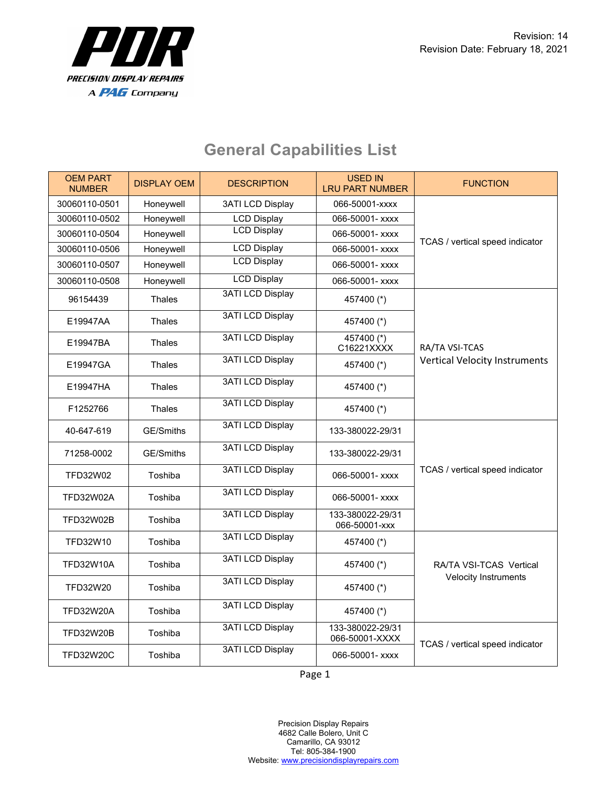

| <b>OEM PART</b><br><b>NUMBER</b> | <b>DISPLAY OEM</b> | <b>DESCRIPTION</b>      | <b>USED IN</b><br><b>LRU PART NUMBER</b> | <b>FUNCTION</b>                                        |
|----------------------------------|--------------------|-------------------------|------------------------------------------|--------------------------------------------------------|
| 30060110-0501                    | Honeywell          | <b>3ATI LCD Display</b> | 066-50001-xxxx                           | TCAS / vertical speed indicator                        |
| 30060110-0502                    | Honeywell          | <b>LCD Display</b>      | 066-50001- xxxx                          |                                                        |
| 30060110-0504                    | Honeywell          | <b>LCD Display</b>      | 066-50001- xxxx                          |                                                        |
| 30060110-0506                    | Honeywell          | <b>LCD Display</b>      | 066-50001- xxxx                          |                                                        |
| 30060110-0507                    | Honeywell          | <b>LCD Display</b>      | 066-50001- xxxx                          |                                                        |
| 30060110-0508                    | Honeywell          | <b>LCD Display</b>      | 066-50001- xxxx                          |                                                        |
| 96154439                         | <b>Thales</b>      | <b>3ATI LCD Display</b> | 457400 (*)                               | RA/TA VSI-TCAS<br><b>Vertical Velocity Instruments</b> |
| E19947AA                         | Thales             | <b>3ATI LCD Display</b> | 457400 (*)                               |                                                        |
| E19947BA                         | <b>Thales</b>      | <b>3ATI LCD Display</b> | $457400$ (*)<br>C16221XXXX               |                                                        |
| E19947GA                         | Thales             | <b>3ATI LCD Display</b> | 457400 (*)                               |                                                        |
| E19947HA                         | Thales             | <b>3ATI LCD Display</b> | 457400 (*)                               |                                                        |
| F1252766                         | <b>Thales</b>      | <b>3ATI LCD Display</b> | 457400 (*)                               |                                                        |
| 40-647-619                       | GE/Smiths          | <b>3ATI LCD Display</b> | 133-380022-29/31                         | TCAS / vertical speed indicator                        |
| 71258-0002                       | GE/Smiths          | <b>3ATI LCD Display</b> | 133-380022-29/31                         |                                                        |
| TFD32W02                         | Toshiba            | <b>3ATI LCD Display</b> | 066-50001- xxxx                          |                                                        |
| <b>TFD32W02A</b>                 | Toshiba            | <b>3ATI LCD Display</b> | 066-50001- xxxx                          |                                                        |
| TFD32W02B                        | Toshiba            | <b>3ATI LCD Display</b> | 133-380022-29/31<br>066-50001-xxx        |                                                        |
| TFD32W10                         | Toshiba            | <b>3ATI LCD Display</b> | 457400 (*)                               | RA/TA VSI-TCAS Vertical<br><b>Velocity Instruments</b> |
| <b>TFD32W10A</b>                 | Toshiba            | <b>3ATI LCD Display</b> | 457400 (*)                               |                                                        |
| TFD32W20                         | Toshiba            | <b>3ATI LCD Display</b> | 457400 (*)                               |                                                        |
| <b>TFD32W20A</b>                 | Toshiba            | <b>3ATI LCD Display</b> | 457400 (*)                               |                                                        |
| <b>TFD32W20B</b>                 | Toshiba            | <b>3ATI LCD Display</b> | 133-380022-29/31<br>066-50001-XXXX       | TCAS / vertical speed indicator                        |
| <b>TFD32W20C</b>                 | Toshiba            | <b>3ATI LCD Display</b> | 066-50001- xxxx                          |                                                        |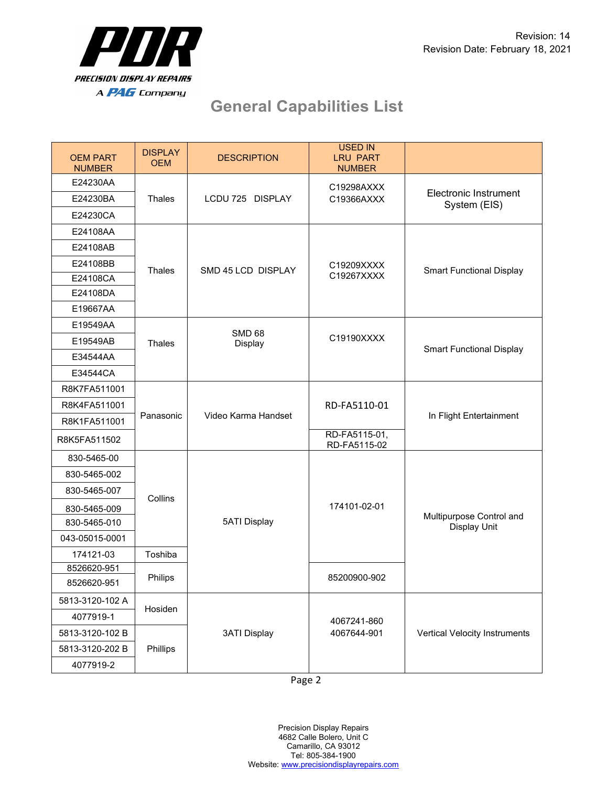

| <b>OEM PART</b><br><b>NUMBER</b> | <b>DISPLAY</b><br><b>OEM</b> | <b>DESCRIPTION</b>  | USED IN<br><b>LRU PART</b><br><b>NUMBER</b> |                                                 |
|----------------------------------|------------------------------|---------------------|---------------------------------------------|-------------------------------------------------|
| E24230AA                         |                              |                     | C19298AXXX                                  |                                                 |
| E24230BA                         | <b>Thales</b>                | LCDU 725 DISPLAY    | C19366AXXX                                  | Electronic Instrument<br>System (EIS)           |
| E24230CA                         |                              |                     |                                             |                                                 |
| E24108AA                         |                              |                     |                                             |                                                 |
| E24108AB                         |                              | SMD 45 LCD DISPLAY  | C19209XXXX<br>C19267XXXX                    | <b>Smart Functional Display</b>                 |
| E24108BB                         | <b>Thales</b>                |                     |                                             |                                                 |
| E24108CA                         |                              |                     |                                             |                                                 |
| E24108DA                         |                              |                     |                                             |                                                 |
| E19667AA                         |                              |                     |                                             |                                                 |
| E19549AA                         |                              | <b>SMD 68</b>       |                                             | <b>Smart Functional Display</b>                 |
| E19549AB                         | <b>Thales</b>                | Display             | C19190XXXX                                  |                                                 |
| E34544AA                         |                              |                     |                                             |                                                 |
| E34544CA                         |                              |                     |                                             |                                                 |
| R8K7FA511001                     |                              |                     | RD-FA5110-01                                | In Flight Entertainment                         |
| R8K4FA511001                     | Panasonic                    |                     |                                             |                                                 |
| R8K1FA511001                     |                              | Video Karma Handset |                                             |                                                 |
| R8K5FA511502                     |                              |                     | RD-FA5115-01,<br>RD-FA5115-02               |                                                 |
| 830-5465-00                      |                              |                     |                                             | Multipurpose Control and<br><b>Display Unit</b> |
| 830-5465-002                     | Collins                      |                     | 174101-02-01                                |                                                 |
| 830-5465-007                     |                              |                     |                                             |                                                 |
| 830-5465-009                     |                              |                     |                                             |                                                 |
| 830-5465-010                     |                              | <b>5ATI Display</b> |                                             |                                                 |
| 043-05015-0001                   |                              |                     |                                             |                                                 |
| 174121-03                        | Toshiba                      |                     |                                             |                                                 |
| 8526620-951                      |                              |                     |                                             |                                                 |
| 8526620-951                      | Philips                      |                     | 85200900-902                                |                                                 |
| 5813-3120-102 A                  |                              |                     | 4067241-860                                 | <b>Vertical Velocity Instruments</b>            |
| 4077919-1                        | Hosiden                      |                     |                                             |                                                 |
| 5813-3120-102 B                  | Phillips                     | <b>3ATI Display</b> | 4067644-901                                 |                                                 |
| 5813-3120-202 B                  |                              |                     |                                             |                                                 |
| 4077919-2                        |                              |                     |                                             |                                                 |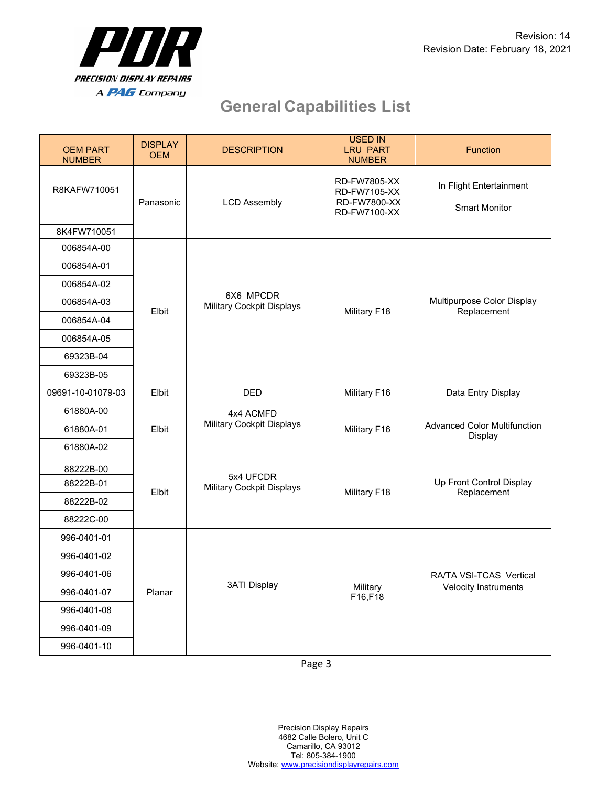

| <b>OEM PART</b><br><b>NUMBER</b> | <b>DISPLAY</b><br><b>OEM</b> | <b>DESCRIPTION</b>                            | <b>USED IN</b><br><b>LRU PART</b><br><b>NUMBER</b>                                | <b>Function</b>                                 |
|----------------------------------|------------------------------|-----------------------------------------------|-----------------------------------------------------------------------------------|-------------------------------------------------|
| R8KAFW710051<br>8K4FW710051      | Panasonic                    | <b>LCD Assembly</b>                           | <b>RD-FW7805-XX</b><br><b>RD-FW7105-XX</b><br><b>RD-FW7800-XX</b><br>RD-FW7100-XX | In Flight Entertainment<br><b>Smart Monitor</b> |
| 006854A-00                       |                              | 6X6 MPCDR<br>Military Cockpit Displays        | Military F18                                                                      | Multipurpose Color Display<br>Replacement       |
| 006854A-01                       |                              |                                               |                                                                                   |                                                 |
| 006854A-02                       |                              |                                               |                                                                                   |                                                 |
| 006854A-03                       | Elbit                        |                                               |                                                                                   |                                                 |
| 006854A-04                       |                              |                                               |                                                                                   |                                                 |
| 006854A-05                       |                              |                                               |                                                                                   |                                                 |
| 69323B-04                        |                              |                                               |                                                                                   |                                                 |
| 69323B-05                        |                              |                                               |                                                                                   |                                                 |
| 09691-10-01079-03                | Elbit                        | <b>DED</b>                                    | Military F16                                                                      | Data Entry Display                              |
| 61880A-00                        |                              | 4x4 ACMFD<br>Military Cockpit Displays        | Military F16                                                                      | <b>Advanced Color Multifunction</b><br>Display  |
| 61880A-01                        | Elbit                        |                                               |                                                                                   |                                                 |
| 61880A-02                        |                              |                                               |                                                                                   |                                                 |
| 88222B-00                        |                              | 5x4 UFCDR<br><b>Military Cockpit Displays</b> | Military F18                                                                      | Up Front Control Display<br>Replacement         |
| 88222B-01                        | Elbit                        |                                               |                                                                                   |                                                 |
| 88222B-02                        |                              |                                               |                                                                                   |                                                 |
| 88222C-00                        |                              |                                               |                                                                                   |                                                 |
| 996-0401-01                      | Planar                       | <b>3ATI Display</b>                           |                                                                                   | RA/TA VSI-TCAS Vertical<br>Velocity Instruments |
| 996-0401-02                      |                              |                                               | Military<br>F16,F18                                                               |                                                 |
| 996-0401-06                      |                              |                                               |                                                                                   |                                                 |
| 996-0401-07                      |                              |                                               |                                                                                   |                                                 |
| 996-0401-08                      |                              |                                               |                                                                                   |                                                 |
| 996-0401-09                      |                              |                                               |                                                                                   |                                                 |
| 996-0401-10                      |                              |                                               |                                                                                   |                                                 |

Page 3